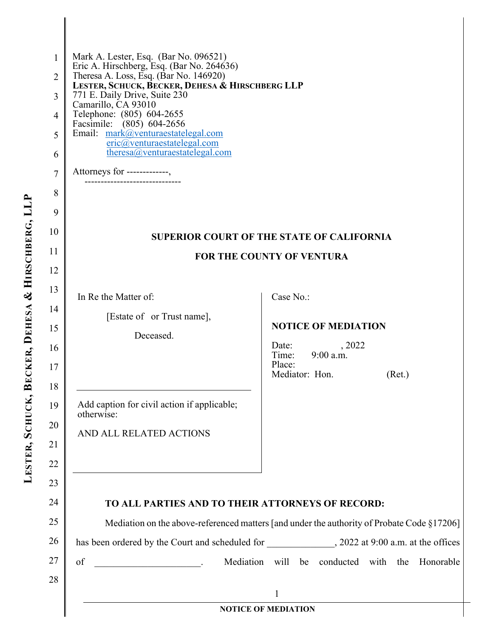| 1<br>2<br>3<br>4<br>5<br>6 | Mark A. Lester, Esq. (Bar No. 096521)<br>Eric A. Hirschberg, Esq. (Bar No. 264636)<br>Theresa A. Loss, Esq. (Bar No. 146920)<br>LESTER, SCHUCK, BECKER, DEHESA & HIRSCHBERG LLP<br>771 E. Daily Drive, Suite 230<br>Camarillo, CA 93010<br>Telephone: (805) 604-2655<br>Facsimile: (805) 604-2656<br>Email: mark@venturaestatelegal.com<br>eric@venturaestatelegal.com<br>theresa@venturaestatelegal.com |                                                      |  |
|----------------------------|----------------------------------------------------------------------------------------------------------------------------------------------------------------------------------------------------------------------------------------------------------------------------------------------------------------------------------------------------------------------------------------------------------|------------------------------------------------------|--|
| 7                          | Attorneys for -------------,                                                                                                                                                                                                                                                                                                                                                                             |                                                      |  |
| 8                          |                                                                                                                                                                                                                                                                                                                                                                                                          |                                                      |  |
| 9                          |                                                                                                                                                                                                                                                                                                                                                                                                          |                                                      |  |
| 10                         | <b>SUPERIOR COURT OF THE STATE OF CALIFORNIA</b>                                                                                                                                                                                                                                                                                                                                                         |                                                      |  |
| 11                         | <b>FOR THE COUNTY OF VENTURA</b>                                                                                                                                                                                                                                                                                                                                                                         |                                                      |  |
| 12                         |                                                                                                                                                                                                                                                                                                                                                                                                          |                                                      |  |
| 13                         | In Re the Matter of:                                                                                                                                                                                                                                                                                                                                                                                     | Case No.:                                            |  |
| 14<br>15                   | [Estate of or Trust name],                                                                                                                                                                                                                                                                                                                                                                               | <b>NOTICE OF MEDIATION</b>                           |  |
| 16                         | Deceased.                                                                                                                                                                                                                                                                                                                                                                                                | Date:<br>, 2022                                      |  |
| 17                         |                                                                                                                                                                                                                                                                                                                                                                                                          | Time: 9:00 a.m.<br>Place:                            |  |
| 18                         |                                                                                                                                                                                                                                                                                                                                                                                                          | Mediator: Hon.<br>(Ret.)                             |  |
| 19                         | Add caption for civil action if applicable;<br>otherwise:                                                                                                                                                                                                                                                                                                                                                |                                                      |  |
| 20                         | AND ALL RELATED ACTIONS                                                                                                                                                                                                                                                                                                                                                                                  |                                                      |  |
| 21                         |                                                                                                                                                                                                                                                                                                                                                                                                          |                                                      |  |
| 22                         |                                                                                                                                                                                                                                                                                                                                                                                                          |                                                      |  |
| 23                         |                                                                                                                                                                                                                                                                                                                                                                                                          |                                                      |  |
| 24                         | TO ALL PARTIES AND TO THEIR ATTORNEYS OF RECORD:                                                                                                                                                                                                                                                                                                                                                         |                                                      |  |
| 25                         | Mediation on the above-referenced matters [and under the authority of Probate Code §17206]                                                                                                                                                                                                                                                                                                               |                                                      |  |
| 26                         | has been ordered by the Court and scheduled for ______________, 2022 at 9:00 a.m. at the offices                                                                                                                                                                                                                                                                                                         |                                                      |  |
| 27                         | of<br>$\mathcal{L}^{\mathcal{L}}$ and $\mathcal{L}^{\mathcal{L}}$ are the set of the set of the set of the set of $\mathcal{L}^{\mathcal{L}}$                                                                                                                                                                                                                                                            | Mediation will be conducted with<br>Honorable<br>the |  |
| 28                         | 1                                                                                                                                                                                                                                                                                                                                                                                                        |                                                      |  |
| <b>NOTICE OF MEDIATION</b> |                                                                                                                                                                                                                                                                                                                                                                                                          |                                                      |  |